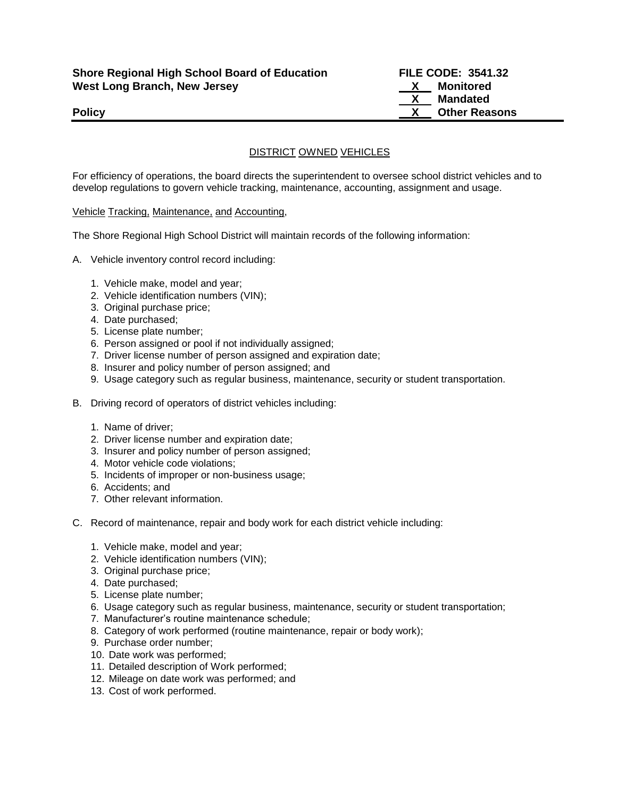DISTRICT OWNED VEHICLES

For efficiency of operations, the board directs the superintendent to oversee school district vehicles and to develop regulations to govern vehicle tracking, maintenance, accounting, assignment and usage.

## Vehicle Tracking, Maintenance, and Accounting,

The Shore Regional High School District will maintain records of the following information:

- A. Vehicle inventory control record including:
	- 1. Vehicle make, model and year;
	- 2. Vehicle identification numbers (VIN);
	- 3. Original purchase price;
	- 4. Date purchased;
	- 5. License plate number;
	- 6. Person assigned or pool if not individually assigned;
	- 7. Driver license number of person assigned and expiration date;
	- 8. Insurer and policy number of person assigned; and
	- 9. Usage category such as regular business, maintenance, security or student transportation.
- B. Driving record of operators of district vehicles including:
	- 1. Name of driver;
	- 2. Driver license number and expiration date;
	- 3. Insurer and policy number of person assigned;
	- 4. Motor vehicle code violations;
	- 5. Incidents of improper or non-business usage;
	- 6. Accidents; and
	- 7. Other relevant information.
- C. Record of maintenance, repair and body work for each district vehicle including:
	- 1. Vehicle make, model and year;
	- 2. Vehicle identification numbers (VIN);
	- 3. Original purchase price;
	- 4. Date purchased;
	- 5. License plate number;
	- 6. Usage category such as regular business, maintenance, security or student transportation;
	- 7. Manufacturer's routine maintenance schedule;
	- 8. Category of work performed (routine maintenance, repair or body work);
	- 9. Purchase order number;
	- 10. Date work was performed;
	- 11. Detailed description of Work performed;
	- 12. Mileage on date work was performed; and
	- 13. Cost of work performed.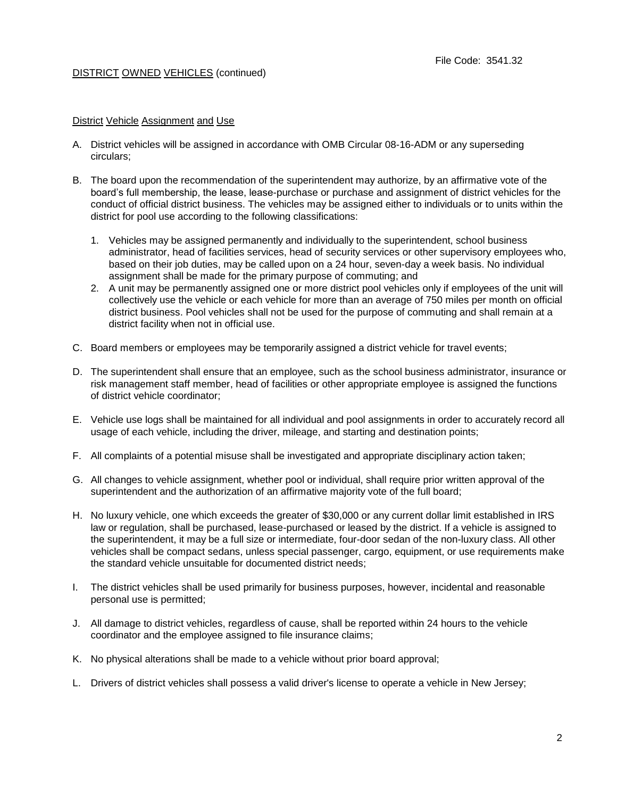# DISTRICT OWNED VEHICLES (continued)

### District Vehicle Assignment and Use

- A. District vehicles will be assigned in accordance with OMB Circular 08-16-ADM or any superseding circulars;
- B. The board upon the recommendation of the superintendent may authorize, by an affirmative vote of the board's full membership, the lease, lease-purchase or purchase and assignment of district vehicles for the conduct of official district business. The vehicles may be assigned either to individuals or to units within the district for pool use according to the following classifications:
	- 1. Vehicles may be assigned permanently and individually to the superintendent, school business administrator, head of facilities services, head of security services or other supervisory employees who, based on their job duties, may be called upon on a 24 hour, seven-day a week basis. No individual assignment shall be made for the primary purpose of commuting; and
	- 2. A unit may be permanently assigned one or more district pool vehicles only if employees of the unit will collectively use the vehicle or each vehicle for more than an average of 750 miles per month on official district business. Pool vehicles shall not be used for the purpose of commuting and shall remain at a district facility when not in official use.
- C. Board members or employees may be temporarily assigned a district vehicle for travel events;
- D. The superintendent shall ensure that an employee, such as the school business administrator, insurance or risk management staff member, head of facilities or other appropriate employee is assigned the functions of district vehicle coordinator;
- E. Vehicle use logs shall be maintained for all individual and pool assignments in order to accurately record all usage of each vehicle, including the driver, mileage, and starting and destination points;
- F. All complaints of a potential misuse shall be investigated and appropriate disciplinary action taken;
- G. All changes to vehicle assignment, whether pool or individual, shall require prior written approval of the superintendent and the authorization of an affirmative majority vote of the full board;
- H. No luxury vehicle, one which exceeds the greater of \$30,000 or any current dollar limit established in IRS law or regulation, shall be purchased, lease-purchased or leased by the district. If a vehicle is assigned to the superintendent, it may be a full size or intermediate, four-door sedan of the non-luxury class. All other vehicles shall be compact sedans, unless special passenger, cargo, equipment, or use requirements make the standard vehicle unsuitable for documented district needs;
- I. The district vehicles shall be used primarily for business purposes, however, incidental and reasonable personal use is permitted;
- J. All damage to district vehicles, regardless of cause, shall be reported within 24 hours to the vehicle coordinator and the employee assigned to file insurance claims;
- K. No physical alterations shall be made to a vehicle without prior board approval;
- L. Drivers of district vehicles shall possess a valid driver's license to operate a vehicle in New Jersey;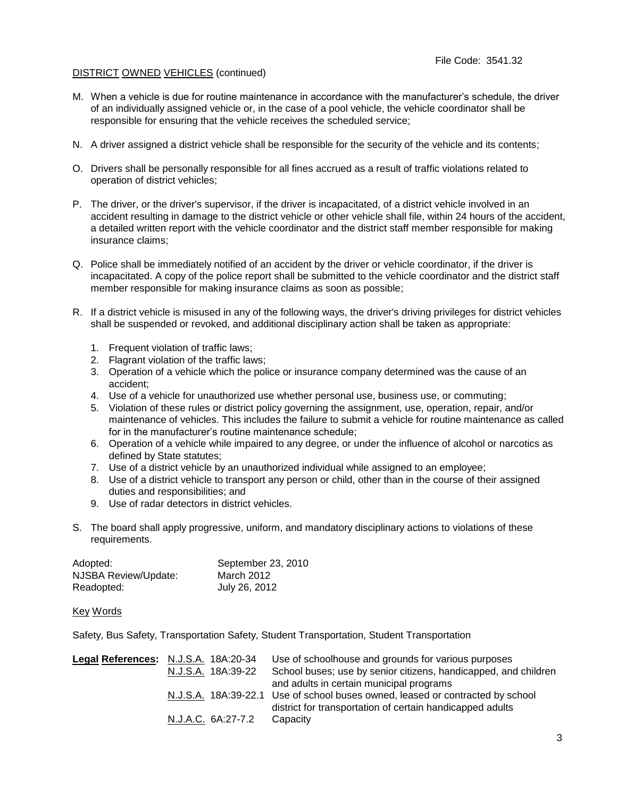# DISTRICT OWNED VEHICLES (continued)

- M. When a vehicle is due for routine maintenance in accordance with the manufacturer's schedule, the driver of an individually assigned vehicle or, in the case of a pool vehicle, the vehicle coordinator shall be responsible for ensuring that the vehicle receives the scheduled service;
- N. A driver assigned a district vehicle shall be responsible for the security of the vehicle and its contents;
- O. Drivers shall be personally responsible for all fines accrued as a result of traffic violations related to operation of district vehicles;
- P. The driver, or the driver's supervisor, if the driver is incapacitated, of a district vehicle involved in an accident resulting in damage to the district vehicle or other vehicle shall file, within 24 hours of the accident, a detailed written report with the vehicle coordinator and the district staff member responsible for making insurance claims;
- Q. Police shall be immediately notified of an accident by the driver or vehicle coordinator, if the driver is incapacitated. A copy of the police report shall be submitted to the vehicle coordinator and the district staff member responsible for making insurance claims as soon as possible;
- R. If a district vehicle is misused in any of the following ways, the driver's driving privileges for district vehicles shall be suspended or revoked, and additional disciplinary action shall be taken as appropriate:
	- 1. Frequent violation of traffic laws;
	- 2. Flagrant violation of the traffic laws;
	- 3. Operation of a vehicle which the police or insurance company determined was the cause of an accident;
	- 4. Use of a vehicle for unauthorized use whether personal use, business use, or commuting;
	- 5. Violation of these rules or district policy governing the assignment, use, operation, repair, and/or maintenance of vehicles. This includes the failure to submit a vehicle for routine maintenance as called for in the manufacturer's routine maintenance schedule;
	- 6. Operation of a vehicle while impaired to any degree, or under the influence of alcohol or narcotics as defined by State statutes;
	- 7. Use of a district vehicle by an unauthorized individual while assigned to an employee;
	- 8. Use of a district vehicle to transport any person or child, other than in the course of their assigned duties and responsibilities; and
	- 9. Use of radar detectors in district vehicles.
- S. The board shall apply progressive, uniform, and mandatory disciplinary actions to violations of these requirements.

| Adopted:             | September 23, 2010 |
|----------------------|--------------------|
| NJSBA Review/Update: | March 2012         |
| Readopted:           | July 26, 2012      |

#### Key Words

Safety, Bus Safety, Transportation Safety, Student Transportation, Student Transportation

| Legal References: N.J.S.A. 18A:20-34 | Use of schoolhouse and grounds for various purposes                            |
|--------------------------------------|--------------------------------------------------------------------------------|
| N.J.S.A. 18A:39-22                   | School buses; use by senior citizens, handicapped, and children                |
|                                      | and adults in certain municipal programs                                       |
|                                      | N.J.S.A. 18A:39-22.1 Use of school buses owned, leased or contracted by school |
|                                      | district for transportation of certain handicapped adults                      |
| N.J.A.C. 6A:27-7.2                   | Capacity                                                                       |